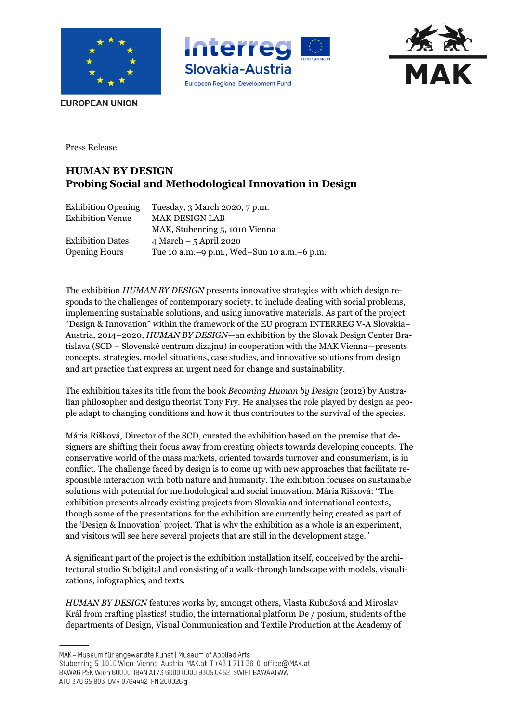





**EUROPEAN UNION** 

Press Release

## **HUMAN BY DESIGN Probing Social and Methodological Innovation in Design**

| <b>Exhibition Opening</b> | Tuesday, 3 March 2020, 7 p.m.                |
|---------------------------|----------------------------------------------|
| <b>Exhibition Venue</b>   | <b>MAK DESIGN LAB</b>                        |
|                           | MAK, Stubenring 5, 1010 Vienna               |
| <b>Exhibition Dates</b>   | $4$ March $-5$ April 2020                    |
| <b>Opening Hours</b>      | Tue 10 a.m. -9 p.m., Wed-Sun 10 a.m. -6 p.m. |

The exhibition *HUMAN BY DESIGN* presents innovative strategies with which design responds to the challenges of contemporary society, to include dealing with social problems, implementing sustainable solutions, and using innovative materials. As part of the project "Design & Innovation" within the framework of the EU program INTERREG V-A Slovakia– Austria, 2014–2020, *HUMAN BY DESIGN*—an exhibition by the Slovak Design Center Bratislava (SCD – Slovenské centrum dizajnu) in cooperation with the MAK Vienna—presents concepts, strategies, model situations, case studies, and innovative solutions from design and art practice that express an urgent need for change and sustainability.

The exhibition takes its title from the book *Becoming Human by Design* (2012) by Australian philosopher and design theorist Tony Fry. He analyses the role played by design as people adapt to changing conditions and how it thus contributes to the survival of the species.

Mária Rišková, Director of the SCD, curated the exhibition based on the premise that designers are shifting their focus away from creating objects towards developing concepts. The conservative world of the mass markets, oriented towards turnover and consumerism, is in conflict. The challenge faced by design is to come up with new approaches that facilitate responsible interaction with both nature and humanity. The exhibition focuses on sustainable solutions with potential for methodological and social innovation. Mária Rišková: "The exhibition presents already existing projects from Slovakia and international contexts, though some of the presentations for the exhibition are currently being created as part of the 'Design & Innovation' project. That is why the exhibition as a whole is an experiment, and visitors will see here several projects that are still in the development stage."

A significant part of the project is the exhibition installation itself, conceived by the architectural studio Subdigital and consisting of a walk-through landscape with models, visualizations, infographics, and texts.

*HUMAN BY DESIGN* features works by, amongst others, Vlasta Kubušová and Miroslav Král from crafting plastics! studio, the international platform De / posium, students of the departments of Design, Visual Communication and Textile Production at the Academy of

ATU 370 65 803 DVR 0764442 FN 200026 g

MAK - Museum für angewandte Kunst | Museum of Applied Arts

Stubenring 5 1010 Wien | Vienna Austria MAK.at T+43 1 711 36-0 office@MAK.at

BAWAG PSK Wien 60000 IBAN AT73 6000 0000 9305 0452 SWIFT BAWAATWW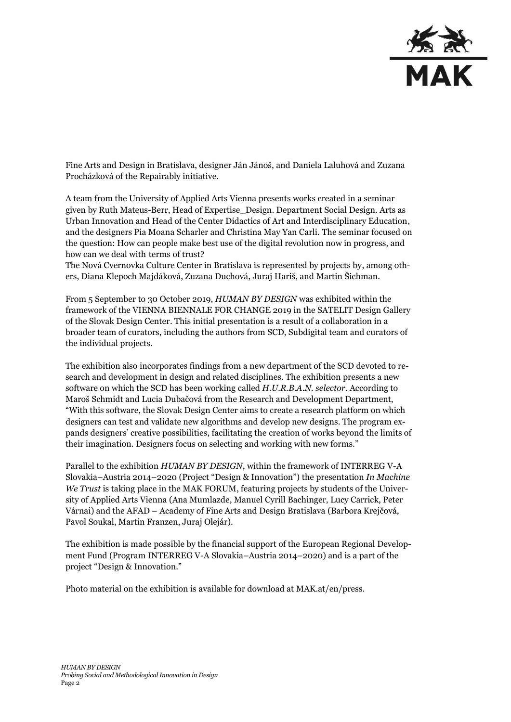

Fine Arts and Design in Bratislava, designer Ján Jánoš, and Daniela Laluhová and Zuzana Procházková of the Repairably initiative.

A team from the University of Applied Arts Vienna presents works created in a seminar given by Ruth Mateus-Berr, Head of Expertise\_Design. Department Social Design. Arts as Urban Innovation and Head of the Center Didactics of Art and Interdisciplinary Education, and the designers Pia Moana Scharler and Christina May Yan Carli. The seminar focused on the question: How can people make best use of the digital revolution now in progress, and how can we deal with terms of trust?

The Nová Cvernovka Culture Center in Bratislava is represented by projects by, among others, Diana Klepoch Majdáková, Zuzana Duchová, Juraj Hariš, and Martin Šichman.

From 5 September to 30 October 2019, *HUMAN BY DESIGN* was exhibited within the framework of the VIENNA BIENNALE FOR CHANGE 2019 in the SATELIT Design Gallery of the Slovak Design Center. This initial presentation is a result of a collaboration in a broader team of curators, including the authors from SCD, Subdigital team and curators of the individual projects.

The exhibition also incorporates findings from a new department of the SCD devoted to research and development in design and related disciplines. The exhibition presents a new software on which the SCD has been working called *H.U.R.B.A.N. selector*. According to Maroš Schmidt and Lucia Dubačová from the Research and Development Department, "With this software, the Slovak Design Center aims to create a research platform on which designers can test and validate new algorithms and develop new designs. The program expands designers' creative possibilities, facilitating the creation of works beyond the limits of their imagination. Designers focus on selecting and working with new forms."

Parallel to the exhibition *HUMAN BY DESIGN*, within the framework of INTERREG V-A Slovakia–Austria 2014–2020 (Project "Design & Innovation") the presentation *In Machine We Trust* is taking place in the MAK FORUM, featuring projects by students of the University of Applied Arts Vienna (Ana Mumlazde, Manuel Cyrill Bachinger, Lucy Carrick, Peter Várnai) and the AFAD – Academy of Fine Arts and Design Bratislava (Barbora Krejčová, Pavol Soukal, Martin Franzen, Juraj Olejár).

The exhibition is made possible by the financial support of the European Regional Development Fund (Program INTERREG V-A Slovakia–Austria 2014–2020) and is a part of the project "Design & Innovation."

Photo material on the exhibition is available for download at MAK.at/en/press.